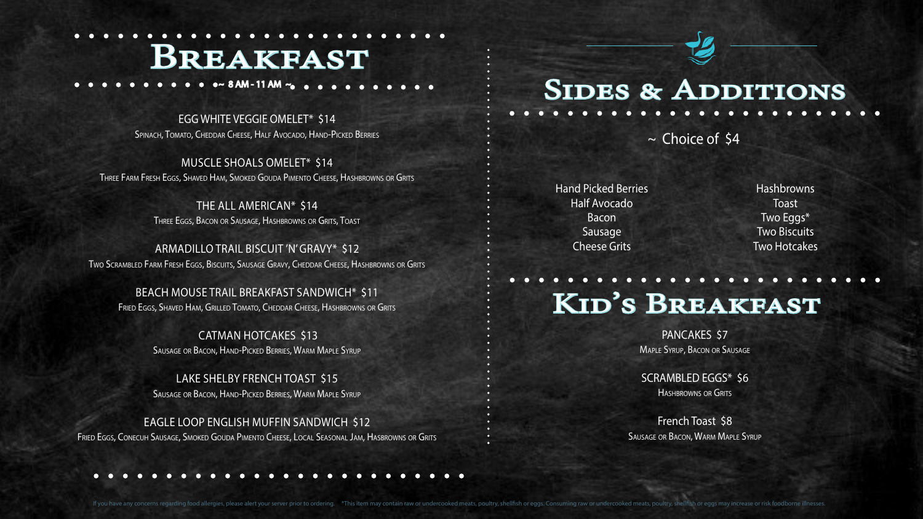MUSCLE SHOALS OMELET\* \$14 Three Farm Fresh Eggs, Shaved Ham, Smoked Gouda Pimento Cheese, Hashbrowns or Grits

> THE ALL AMERICAN\* \$14 Three Eggs, Bacon or Sausage, Hashbrowns or Grits, Toast

ARMADILLO TRAIL BISCUIT 'N' GRAVY\* \$12 Two Scrambled Farm Fresh Eggs, Biscuits, Sausage Gravy, Cheddar Cheese, Hashbrowns or Grits

BEACH MOUSE TRAIL BREAKFAST SANDWICH\* \$11 Fried Eggs, Shaved Ham, Grilled Tomato, Cheddar Cheese, Hashbrowns or Grits

> SCRAMBLED EGGS\* \$6 HASHBROWNS OR GRITS

 CATMAN HOTCAKES \$13 Sausage or Bacon, Hand-Picked Berries, Warm Maple Syrup

LAKE SHELBY FRENCH TOAST \$15 Sausage or Bacon, Hand-Picked Berries, Warm Maple Syrup

EAGLE LOOP ENGLISH MUFFIN SANDWICH \$12 Fried Eggs, Conecuh Sausage, Smoked Gouda Pimento Cheese, Local Seasonal Jam, Hasbrowns or Grits

# SIDES & ADDITIONS

~ 8 AM - 11 AM ~

EGG WHITE VEGGIE OMELET\* \$14 SPINACH, TOMATO, CHEDDAR CHEESE, HALF AVOCADO, HAND-PICKED BERRIES

> Hand Picked Berries Half Avocado Bacon Sausage Cheese Grits

> > PANCAKES \$7 Maple Syrup, Bacon or Sausage

French Toast \$8 Sausage or Bacon, Warm Maple Syrup

If you have any concerns regarding food allergies, please alert your server prior to ordering. \*This item may contain raw or undercooked meats, poultry, shellfish or eggs. Consuming raw or undercooked meats, poultry, shell

Hashbrowns **Toast** Two Eggs\* Two Biscuits Two Hotcakes

~ Choice of \$4

## Breakfast

## Kid's Breakfast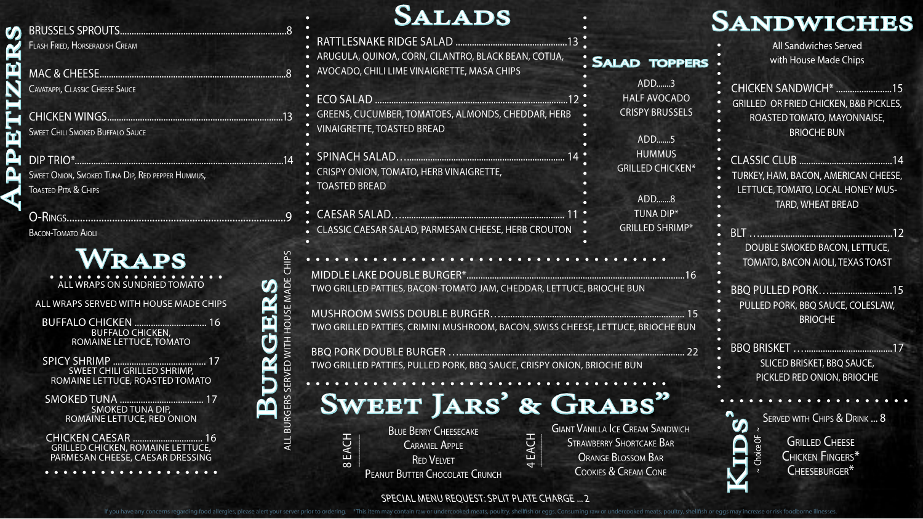#### BRUSSELS SPROUTS.......................................................................8 Flash Fried, Horseradish Cream

CHICKEN WINGS...........................................................................13 **SWEET CHILI SMOKED BUFFALO SAUCE** 

MAC & CHEESE.................................................................................8 Cavatappi, Classic Cheese Sauce

O-Rings..................................................................................9 BACON-TOMATO AIOLI

DIP TRIO\*.........................................................................................14 Sweet Onion, Smoked Tuna Dip, Red pepper Hummus, Toasted Pita & Chips

#### RATTLESNAKE RIDGE SALAD ................................................13 **SALADS**

BBQ PULLED PORK…...........................15 PULLED PORK, BBQ SAUCE, COLESLAW, **BRIOCHE** 

> **GRILLED CHEESE** Chicken Fingers\* Cheeseburger\*

 $\sim$  Choice OF  $\sim$ 

noice OF

 $\boldsymbol{\omega}$ 



All Sandwiches Served with House Made Chips

CHICKEN SANDWICH\* ........................15 GRILLED OR FRIED CHICKEN, B&B PICKLES, ROASTED TOMATO, MAYONNAISE, BRIOCHE BUN

CLASSIC CLUB ........................................14 TURKEY, HAM, BACON, AMERICAN CHEESE, LETTUCE, TOMATO, LOCAL HONEY MUS-TARD, WHEAT BREAD

BLT ….........................................................12 DOUBLE SMOKED BACON, LETTUCE, TOMATO, BACON AIOLI, TEXAS TOAST

- ARUGULA, QUINOA, CORN, CILANTRO, BLACK BEAN, COTIJA,
- AVOCADO, CHILI LIME VINAIGRETTE, MASA CHIPS
- ECO SALAD ...................................................................................12 GREENS, CUCUMBER, TOMATOES, ALMONDS, CHEDDAR, HERB VINAIGRETTE, TOASTED BREAD SPINACH SALAD….................................................................... 14 CRISPY ONION, TOMATO, HERB VINAIGRETTE, TOASTED BREAD CAESAR SALAD…...................................................................... 11 ADD.......3 HALF AVOCADO CRISPY BRUSSELS ADD.......5 **HUMMUS** GRILLED CHICKEN\* ADD.......8 TUNA DIP\* GRILLED SHRIMP\*
- CLASSIC CAESAR SALAD, PARMESAN CHEESE, HERB CROUTON •
- MIDDLE LAKE DOUBLE BURGER\*..............................................................................................16 TWO GRILLED PATTIES, BACON-TOMATO JAM, CHEDDAR, LETTUCE, BRIOCHE BUN
- MUSHROOM SWISS DOUBLE BURGER…............................................................................... 15 TWO GRILLED PATTIES, CRIMINI MUSHROOM, BACON, SWISS CHEESE, LETTUCE, BRIOCHE BUN

BBQ BRISKET …......................................17 SLICED BRISKET, BBQ SAUCE, PICKLED RED ONION, BRIOCHE

SERVED WITH CHIPS & DRINK ... 8

ALL WRAPS SERVED WITH HOUSE MADE CHIPS

- BUFFALO CHICKEN ............................... 16 BUFFALO CHICKEN, ROMAINE LETTUCE, TOMATO
- SPICY SHRIMP ........................................ 17 SWEET CHILI GRILLED SHRIMP, ROMAINE LETTUCE, ROASTED TOMATO
- SMOKED TUNA .................................... 17 SMOKED TUNA DIP, ROMAINE LETTUCE, RED ONION
- CHICKEN CAESAR .............................. 16 GRILLED CHICKEN, ROMAINE LETTUCE, PARMESAN CHEESE, CAESAR DRESSING

. . . . . . . . . . . . .

#### ALL WRAPS ON SUNDRIED TOMATO Wraps

BBQ PORK DOUBLE BURGER …................................................................................................. 22 TWO GRILLED PATTIES, PULLED PORK, BBQ SAUCE, CRISPY ONION, BRIOCHE BUN

#### SPECIAL MENU REQUEST: SPLIT PLATE CHARGE ... 2

If you have any concerns regarding food allergies, please alert your server prior to ordering. \*This item may contain raw or undercooked meats, poultry, shellfish or eggs. Consuming raw or undercooked meats, poultry, shell

ALL BURGERS SERVED WITH HOUSE MADE CHIPS

 $\overline{E}$ 

SERV

GERS

**WITH** 

**HOUSE MADE** 

**BURGERS** 

Ü

 $\mathbf{\underline{\alpha}}$ 

മ്മ

**SD** 

ER

8 EACH

4 EACH

**BLUE BERRY CHEESECAKE** Caramel Apple **RED VELVET** PEANUT BUTTER CHOCOLATE CRUNCH Giant Vanilla Ice Cream Sandwich Strawberry Shortcake Bar Orange Blossom Bar Cookies & Cream Cone

SALAD TOPPERS



## Sweet Jars' & Grabs"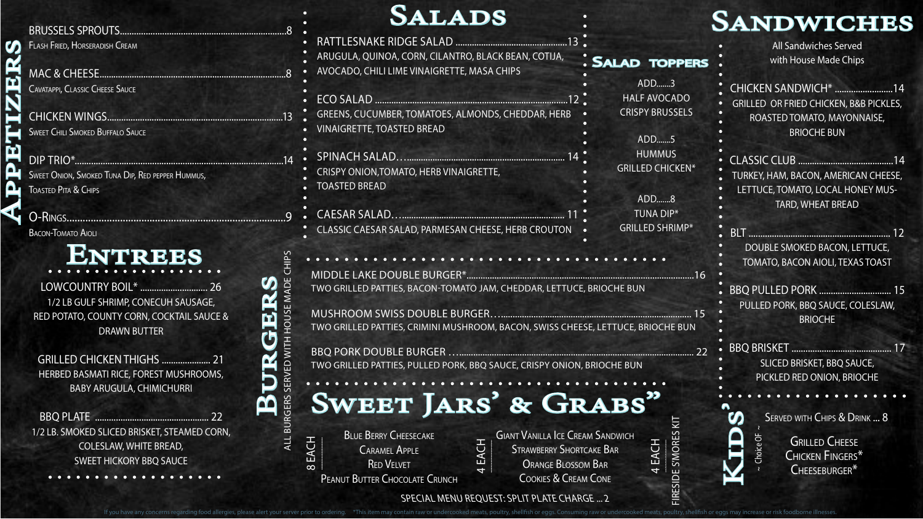BRUSSELS SPROUTS.......................................................................8 Flash Fried, Horseradish Cream

CHICKEN WINGS...........................................................................13 **SWEET CHILI SMOKED BUFFALO SAUCE** 

MAC & CHEESE.................................................................................8 Cavatappi, Classic Cheese Sauce

O-Rings..................................................................................9 BACON-TOMATO AIOLI

### **ENTREES**

DIP TRIO\*.........................................................................................14 Sweet Onion, Smoked Tuna Dip, Red pepper Hummus, Toasted Pita & Chips

> BBQ PULLED PORK ............................... 15 PULLED PORK, BBQ SAUCE, COLESLAW, **BRIOCHE**

> > GRILLED CHEESE Chicken Fingers\* Cheeseburger\*

 $\sim$  Choice OF  $\sim$ 

Choice OF

All Sandwiches Served with House Made Chips

CHICKEN SANDWICH\* .........................14 GRILLED OR FRIED CHICKEN, B&B PICKLES, ROASTED TOMATO, MAYONNAISE, BRIOCHE BUN

# Appetizers  $\mathcal{C}\cap$

CLASSIC CLUB .........................................14 TURKEY, HAM, BACON, AMERICAN CHEESE, LETTUCE, TOMATO, LOCAL HONEY MUS-TARD, WHEAT BREAD

Caramel Apple **RED VELVET** PEANUT BUTTER CHOCOLATE CRUNCH BLT ............................................................. 12 DOUBLE SMOKED BACON, LETTUCE, TOMATO, BACON AIOLI, TEXAS TOAST

BBQ BRISKET ........................................... 17 SLICED BRISKET, BBQ SAUCE, PICKLED RED ONION, BRIOCHE

SERVED WITH CHIPS & DRINK ... 8

RATTLESNAKE RIDGE SALAD ................................................13 ARUGULA, QUINOA, CORN, CILANTRO, BLACK BEAN, COTIJA, AVOCADO, CHILI LIME VINAIGRETTE, MASA CHIPS ECO SALAD ...................................................................................12 GREENS, CUCUMBER, TOMATOES, ALMONDS, CHEDDAR, HERB VINAIGRETTE, TOASTED BREAD SPINACH SALAD….................................................................... 14 CRISPY ONION,TOMATO, HERB VINAIGRETTE, TOASTED BREAD CAESAR SALAD…...................................................................... 11 CLASSIC CAESAR SALAD, PARMESAN CHEESE, HERB CROUTON ADD.......3 HALF AVOCADO CRISPY BRUSSELS ADD.......5 **HUMMUS** GRILLED CHICKEN\* ADD.......8 TUNA DIP\* GRILLED SHRIMP\* Sallad toppers

LOWCOUNTRY BOIL\* ............................. 26 1/2 LB GULF SHRIMP, CONECUH SAUSAGE, RED POTATO, COUNTY CORN, COCKTAIL SAUCE & DRAWN BUTTER

GRILLED CHICKEN THIGHS ..................... 21 HERBED BASMATI RICE, FOREST MUSHROOMS, BABY ARUGULA, CHIMICHURRI

BBQ PLATE ................................................. 22 1/2 LB. SMOKED SLICED BRISKET, STEAMED CORN, COLESLAW, WHITE BREAD, SWEET HICKORY BBQ SAUCE

**SALADS** 

MIDDLE LAKE DOUBLE BURGER\*..................................................................................................16 TWO GRILLED PATTIES, BACON-TOMATO JAM, CHEDDAR, LETTUCE, BRIOCHE BUN MUSHROOM SWISS DOUBLE BURGER….................................................................................. 15

TWO GRILLED PATTIES, CRIMINI MUSHROOM, BACON, SWISS CHEESE, LETTUCE, BRIOCHE BUN

BBQ PORK DOUBLE BURGER …..................................................................................................... 22 TWO GRILLED PATTIES, PULLED PORK, BBQ SAUCE, CRISPY ONION, BRIOCHE BUN

SPECIAL MENU REQUEST: SPLIT PLATE CHARGE ... 2

If you have any concerns regarding food allergies, please alert your server prior to ordering. \*This item may contain raw or undercooked meats, poultry, shellfish or eggs. Consuming raw or undercooked meats, poultry, shell

ALL BURGERS SERVED WITH HOUSE MADE CHIPS

ED WITH

**SERV** 

**GERS** 

**HOUSE MADE** 

**BURGERS** 

 $\Omega$ 

 $\boldsymbol{\omega}$ 

 ${\bf \underline{\alpha}}$ 

<u>ічі</u>

#### **SANDWICHES**

Kids'



Strawberry Shortcake Bar Orange Blossom Bar Cookies & Cream Cone

FIRESIDE S'MORES KIT

E S'MORES